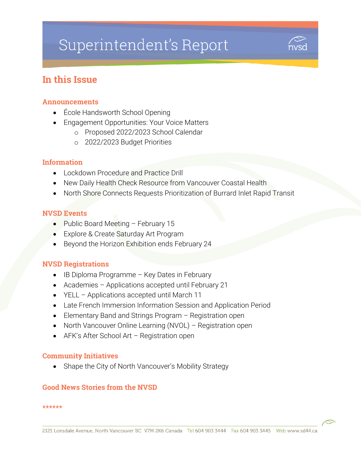# Superintendent's Report



# In this Issue

#### Announcements

- École Handsworth School Opening
- Engagement Opportunities: Your Voice Matters
	- o Proposed 2022/2023 School Calendar
	- o 2022/2023 Budget Priorities

#### Information

- Lockdown Procedure and Practice Drill
- New Daily Health Check Resource from Vancouver Coastal Health
- North Shore Connects Requests Prioritization of Burrard Inlet Rapid Transit

#### NVSD Events

- Public Board Meeting February 15
- **Explore & Create Saturday Art Program**
- Beyond the Horizon Exhibition ends February 24

#### NVSD Registrations

- IB Diploma Programme Key Dates in February
- Academies Applications accepted until February 21
- YELL Applications accepted until March 11
- Late French Immersion Information Session and Application Period
- Elementary Band and Strings Program Registration open
- North Vancouver Online Learning (NVOL) Registration open
- AFK's After School Art Registration open

#### Community Initiatives

• Shape the City of North Vancouver's Mobility Strategy

#### Good News Stories from the NVSD

#### \*\*\*\*\*\*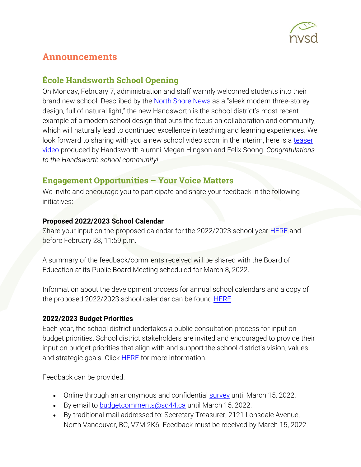

# Announcements

### École Handsworth School Opening

On Monday, February 7, administration and staff warmly welcomed students into their brand new school. Described by the [North Shore News](https://www.sd44.ca/Pages/newsitem.aspx?ItemID=1070&ListID=d00680b1-9ba1-4668-9328-d82dd27dacd4&TemplateID=Announcement_Item#/=) as a "sleek modern three-storey design, full of natural light," the new Handsworth is the school district's most recent example of a modern school design that puts the focus on collaboration and community, which will naturally lead to continued excellence in teaching and learning experiences. We look forward to sharing with you a new school video soon; in the interim, here is a teaser [video](https://youtu.be/LrcrfBfYdNA) produced by Handsworth alumni Megan Hingson and Felix Soong. *Congratulations to the Handsworth school community!*

# Engagement Opportunities – Your Voice Matters

We invite and encourage you to participate and share your feedback in the following initiatives:

#### **Proposed 2022/2023 School Calendar**

Share your input on the proposed calendar for the 2022/2023 school year **[HERE](https://forms.office.com/Pages/ResponsePage.aspx?id=RtUantX4ek-GDic4Z6NToFYRCnmSfXNGnjFKGVKe3qtURTBOU0hPQ1NVWjNEUUtPM0JIMEdGMFA1Ry4u)** and before February 28, 11:59 p.m.

A summary of the feedback/comments received will be shared with the Board of Education at its Public Board Meeting scheduled for March 8, 2022.

Information about the development process for annual school calendars and a copy of the proposed 2022/2023 school calendar can be found **HERE**.

#### **2022/2023 Budget Priorities**

Each year, the school district undertakes a public consultation process for input on budget priorities. School district stakeholders are invited and encouraged to provide their input on budget priorities that align with and support the school district's vision, values and strategic goals. Click **HERE** for more information.

Feedback can be provided:

- Online through an anonymous and confidential **survey** until March 15, 2022.
- By email to **budgetcomments@sd44.ca** until March 15, 2022.
- By traditional mail addressed to: Secretary Treasurer, 2121 Lonsdale Avenue, North Vancouver, BC, V7M 2K6. Feedback must be received by March 15, 2022.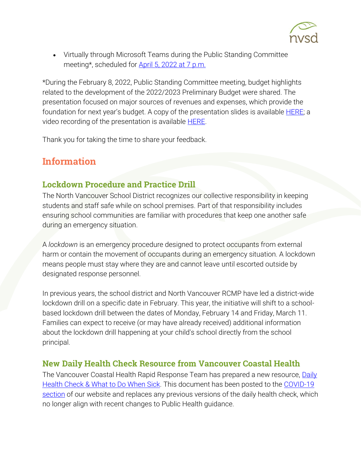

 Virtually through Microsoft Teams during the Public Standing Committee meeting\*, scheduled for [April 5, 2022 at 7](https://www.sd44.ca/Board/Meetings/Pages/default.aspx#/=) p.m.

\*During the February 8, 2022, Public Standing Committee meeting, budget highlights related to the development of the 2022/2023 Preliminary Budget were shared. The presentation focused on major sources of revenues and expenses, which provide the foundation for next year's budget. A copy of the presentation slides is available **HERE**; a video recording of the presentation is available **HERE**.

Thank you for taking the time to share your feedback.

# Information

### Lockdown Procedure and Practice Drill

The North Vancouver School District recognizes our collective responsibility in keeping students and staff safe while on school premises. Part of that responsibility includes ensuring school communities are familiar with procedures that keep one another safe during an emergency situation.

A *lockdown* is an emergency procedure designed to protect occupants from external harm or contain the movement of occupants during an emergency situation. A lockdown means people must stay where they are and cannot leave until escorted outside by designated response personnel.

In previous years, the school district and North Vancouver RCMP have led a district-wide lockdown drill on a specific date in February. This year, the initiative will shift to a schoolbased lockdown drill between the dates of Monday, February 14 and Friday, March 11. Families can expect to receive (or may have already received) additional information about the lockdown drill happening at your child's school directly from the school principal.

#### New Daily Health Check Resource from Vancouver Coastal Health

The Vancouver Coastal Health Rapid Response Team has prepared a new resource, [Daily](https://www.sd44.ca/COVID-19/dailyhealthcheck/Documents/Daily%20Health%20Check_What%20to%20Do%20When%20Sick_RRT.pdf)  [Health Check & What to Do When Sick.](https://www.sd44.ca/COVID-19/dailyhealthcheck/Documents/Daily%20Health%20Check_What%20to%20Do%20When%20Sick_RRT.pdf) This document has been posted to the [COVID-19](https://www.sd44.ca/COVID-19/dailyhealthcheck/Pages/default.aspx#/=)  [section](https://www.sd44.ca/COVID-19/dailyhealthcheck/Pages/default.aspx#/=) of our website and replaces any previous versions of the daily health check, which no longer align with recent changes to Public Health guidance.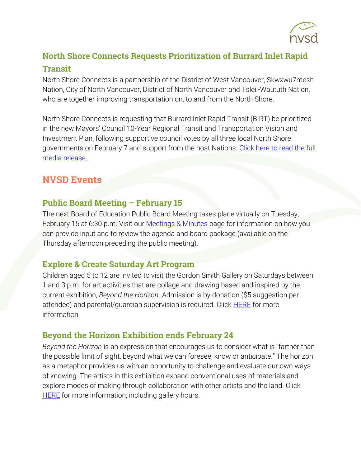

# North Shore Connects Requests Prioritization of Burrard Inlet Rapid Transit

North Shore Connects is a partnership of the District of West Vancouver, Skwxwu7mesh Nation, City of North Vancouver, District of North Vancouver and Tsleil-Waututh Nation, who are together improving transportation on, to and from the North Shore.

North Shore Connects is requesting that Burrard Inlet Rapid Transit (BIRT) be prioritized in the new Mayors' Council 10-Year Regional Transit and Transportation Vision and Investment Plan, following supportive council votes by all three local North Shore governments on February 7 and support from the host Nations. Click here to read the full [media release.](https://northshoreconnects.ca/north-shore-municipalities-and-first-nations-connect-to-advance-shared-vision-for-improved-transportation/)

# **NVSD Events**

### **Public Board Meeting – February 15**

The next Board of Education Public Board Meeting takes place virtually on Tuesday, February 15 at 6:30 p.m. Visit our [Meetings & Minutes](https://www.sd44.ca/Board/Meetings/Pages/default.aspx#/=) page for information on how you can provide input and to review the agenda and board package (available on the Thursday afternoon preceding the public meeting).

#### Explore & Create Saturday Art Program

Children aged 5 to 12 are invited to visit the Gordon Smith Gallery on Saturdays between 1 and 3 p.m. for art activities that are collage and drawing based and inspired by the current exhibition, *Beyond the Horizon*. Admission is by donation (\$5 suggestion per attendee) and parental/quardian supervision is required. Click **HERE** for more information.

# Beyond the Horizon Exhibition ends February 24

*Beyond the Horizon* is an expression that encourages us to consider what is "farther than the possible limit of sight, beyond what we can foresee, know or anticipate." The horizon as a metaphor provides us with an opportunity to challenge and evaluate our own ways of knowing. The artists in this exhibition expand conventional uses of materials and explore modes of making through collaboration with other artists and the land. Click **[HERE](https://www.sd44.ca/school/artistsforkids/Visit/Exhibitions/Pages/default.aspx#/=)** for more information, including gallery hours.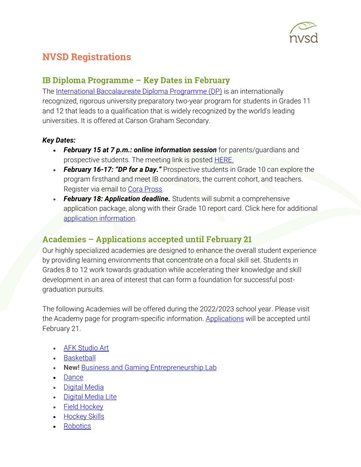

# NVSD Registrations

## IB Diploma Programme – Key Dates in February

The [International Baccalaureate Diploma Programme \(DP\)](https://www.sd44.ca/school/carson/diplomaprogramme/Pages/Default.aspx#/=) is an internationally recognized, rigorous university preparatory two-year program for students in Grades 11 and 12 that leads to a qualification that is widely recognized by the world's leading universities. It is offered at Carson Graham Secondary.

#### *Key Dates:*

- *February 15 at 7 p.m.: online information session* for parents/guardians and prospective students. The meeting link is posted [HERE.](https://www.sd44.ca/school/carson/diplomaprogramme/applicationprocess/Pages/default.aspx#/=)
- *February 16-17: "DP for a Day."* Prospective students in Grade 10 can explore the program firsthand and meet IB coordinators, the current cohort, and teachers. Register via email to [Cora Pross.](mailto:cpross@sd44.ca)
- February 18: Application deadline. Students will submit a comprehensive application package, along with their Grade 10 report card. Click here for additional [application information.](https://www.sd44.ca/school/carson/diplomaprogramme/applicationprocess/Pages/default.aspx#/=)

# Academies – Applications accepted until February 21

Our highly specialized academies are designed to enhance the overall student experience by providing learning environments that concentrate on a focal skill set. Students in Grades 8 to 12 work towards graduation while accelerating their knowledge and skill development in an area of interest that can form a foundation for successful postgraduation pursuits.

The following Academies will be offered during the 2022/2023 school year. Please visit the Academy page for program-specific information. [Applications](https://www.sd44.ca/ProgramsServices/Academies/Pages/default.aspx#/=) will be accepted until February 21.

- [AFK Studio Art](https://www.sd44.ca/ProgramsServices/Academies/AFKAcademy/Pages/default.aspx#/=)
- [Basketball](https://www.sd44.ca/ProgramsServices/Academies/Basketball/Pages/default.aspx#/=)
- **New!** [Business and Gaming Entrepreneurship Lab](https://www.sd44.ca/ProgramsServices/Academies/Gaming/Pages/default.aspx#/=)
- [Dance](https://www.sd44.ca/ProgramsServices/Academies/Dance/Pages/default.aspx#/=)
- [Digital Media](https://www.sd44.ca/ProgramsServices/Academies/DigitalMedia/Pages/default.aspx#/=)
- [Digital Media Lite](https://www.sd44.ca/ProgramsServices/Academies/Digital%20Media%20Academy%20Lite/Pages/default.aspx#/=)
- [Field Hockey](https://www.sd44.ca/ProgramsServices/Academies/FieldHockey/Pages/default.aspx#/=)
- Hockey Skills
- [Robotics](https://www.sd44.ca/ProgramsServices/Academies/Robotics,%20Mechatronics%20%26%20Digital%20Fabrication/Pages/default.aspx#/=)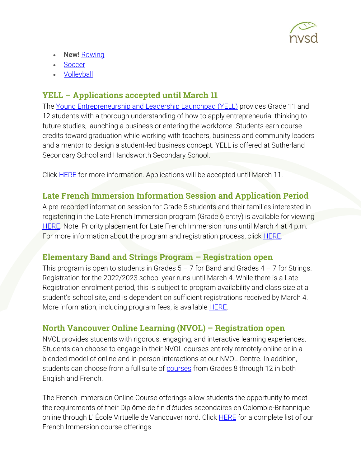

- **New!** [Rowing](https://www.sd44.ca/ProgramsServices/Academies/rowing/Pages/default.aspx#/=)
- **[Soccer](https://www.sd44.ca/ProgramsServices/Academies/SoccerAcademy/Pages/default.aspx#/=)**
- [Volleyball](https://www.sd44.ca/ProgramsServices/Academies/VolleyballAcademy/Pages/default.aspx#/=)

# YELL – Applications accepted until March 11

The [Young Entrepreneurship and Leadership Launchpad \(YELL\)](https://www.sd44.ca/ProgramsServices/careereducation/School-Based%20Career%20Programs/Pages/default.aspx#/=) provides Grade 11 and 12 students with a thorough understanding of how to apply entrepreneurial thinking to future studies, launching a business or entering the workforce. Students earn course credits toward graduation while working with teachers, business and community leaders and a mentor to design a student-led business concept. YELL is offered at Sutherland Secondary School and Handsworth Secondary School.

Click **HERE** for more information. Applications will be accepted until March 11.

#### Late French Immersion Information Session and Application Period

A pre-recorded information session for Grade 5 students and their families interested in registering in the Late French Immersion program (Grade 6 entry) is available for viewing [HERE.](https://www.sd44.ca/ProgramsServices/FrenchImmersion/LateImmersion/Pages/default.aspx#/=) Note: Priority placement for Late French Immersion runs until March 4 at 4 p.m. For more information about the program and registration process, click **HERE**.

#### Elementary Band and Strings Program – Registration open

This program is open to students in Grades  $5 - 7$  for Band and Grades  $4 - 7$  for Strings. Registration for the 2022/2023 school year runs until March 4. While there is a Late Registration enrolment period, this is subject to program availability and class size at a student's school site, and is dependent on sufficient registrations received by March 4. More information, including program fees, is available **HERE**.

#### North Vancouver Online Learning (NVOL) – Registration open

NVOL provides students with rigorous, engaging, and interactive learning experiences. Students can choose to engage in their NVOL courses entirely remotely online or in a blended model of online and in-person interactions at our NVOL Centre. In addition, students can choose from a full suite of **courses** from Grades 8 through 12 in both English and French.

The French Immersion Online Course offerings allow students the opportunity to meet the requirements of their Diplôme de fin d'études secondaires en Colombie-Britannique online through L' École Virtuelle de Vancouver nord. Click **HERE** for a complete list of our French Immersion course offerings.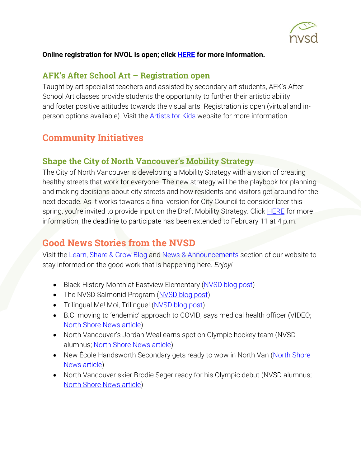

#### **Online registration for NVOL is open; click [HERE](https://www.sd44.ca/school/onlinelearning/About/registration/Pages/default.aspx#/=) for more information.**

#### AFK's After School Art – Registration open

Taught by art specialist teachers and assisted by secondary art students, AFK's After School Art classes provide students the opportunity to further their artistic ability and foster positive attitudes towards the visual arts. Registration is open (virtual and inperson options available). Visit the **Artists for Kids** website for more information.

# Community Initiatives

#### Shape the City of North Vancouver's Mobility Strategy

The City of North Vancouver is developing a Mobility Strategy with a vision of creating healthy streets that work for everyone. The new strategy will be the playbook for planning and making decisions about city streets and how residents and visitors get around for the next decade. As it works towards a final version for City Council to consider later this spring, you're invited to provide input on the Draft Mobility Strategy. Click [HERE](https://www.cnv.org/City-Services/Streets-and-Transportation/Mobility-Strategy) for more information; the deadline to participate has been extended to February 11 at 4 p.m.

# Good News Stories from the NVSD

Visit the [Learn, Share & Grow Blog](https://www.sd44.ca/District/LearnShareGrow/default.aspx#/) and [News & Announcements](https://www.sd44.ca/Pages/newsarchive.aspx?ListID=d00680b1-9ba1-4668-9328-d82dd27dacd4) section of our website to stay informed on the good work that is happening here. *Enjoy!*

- Black History Month at Eastview Elementary [\(NVSD blog post\)](https://www.sd44.ca/District/LearnShareGrow/default.aspx#/view/674)
- The NVSD Salmonid Program [\(NVSD blog post\)](https://www.sd44.ca/District/LearnShareGrow/default.aspx#/view/673)
- Trilingual Me! Moi, Trilingue! [\(NVSD blog post\)](https://www.sd44.ca/District/LearnShareGrow/default.aspx#/view/672)
- B.C. moving to 'endemic' approach to COVID, says medical health officer (VIDEO; [North Shore News article\)](https://www.sd44.ca/pages/newsitem.aspx?ItemID=1072&ListID=d00680b1-9ba1-4668-9328-d82dd27dacd4&TemplateID=Announcement_Item#/=)
- North Vancouver's Jordan Weal earns spot on Olympic hockey team (NVSD alumnus; [North Shore News article\)](https://www.sd44.ca/pages/newsitem.aspx?ItemID=1071&ListID=d00680b1-9ba1-4668-9328-d82dd27dacd4&TemplateID=Announcement_Item#/=)
- New École Handsworth Secondary gets ready to wow in North Van (North Shore [News article\)](https://www.sd44.ca/pages/newsitem.aspx?ItemID=1070&ListID=d00680b1-9ba1-4668-9328-d82dd27dacd4&TemplateID=Announcement_Item#/=)
- North Vancouver skier Brodie Seger ready for his Olympic debut (NVSD alumnus; [North Shore News article\)](https://www.sd44.ca/pages/newsitem.aspx?ItemID=1069&ListID=d00680b1-9ba1-4668-9328-d82dd27dacd4&TemplateID=Announcement_Item#/=)